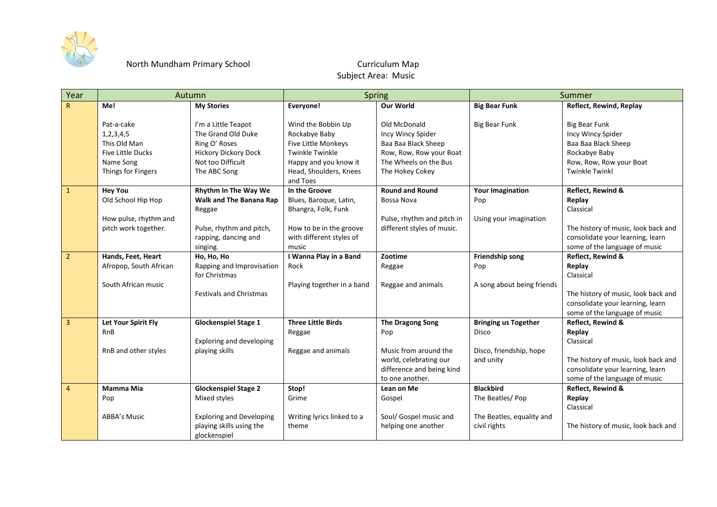

## North Mundham Primary School

## Curriculum Map Subject Area: Music

| Year                    | Autumn                                                                                                     |                                                                                                                                | <b>Spring</b>                                                                                                                                       |                                                                                                                                 | Summer                               |                                                                                                                                       |
|-------------------------|------------------------------------------------------------------------------------------------------------|--------------------------------------------------------------------------------------------------------------------------------|-----------------------------------------------------------------------------------------------------------------------------------------------------|---------------------------------------------------------------------------------------------------------------------------------|--------------------------------------|---------------------------------------------------------------------------------------------------------------------------------------|
| $\mathsf{R}$            | Me!                                                                                                        | <b>My Stories</b>                                                                                                              | Everyone!                                                                                                                                           | Our World                                                                                                                       | <b>Big Bear Funk</b>                 | Reflect, Rewind, Replay                                                                                                               |
|                         | Pat-a-cake<br>1, 2, 3, 4, 5<br>This Old Man<br><b>Five Little Ducks</b><br>Name Song<br>Things for Fingers | I'm a Little Teapot<br>The Grand Old Duke<br>Ring O' Roses<br><b>Hickory Dickory Dock</b><br>Not too Difficult<br>The ABC Song | Wind the Bobbin Up<br>Rockabye Baby<br>Five Little Monkeys<br><b>Twinkle Twinkle</b><br>Happy and you know it<br>Head, Shoulders, Knees<br>and Toes | Old McDonald<br>Incy Wincy Spider<br>Baa Baa Black Sheep<br>Row, Row, Row your Boat<br>The Wheels on the Bus<br>The Hokey Cokey | <b>Big Bear Funk</b>                 | <b>Big Bear Funk</b><br>Incy Wincy Spider<br>Baa Baa Black Sheep<br>Rockabye Baby<br>Row, Row, Row your Boat<br><b>Twinkle Twinkl</b> |
| $\mathbf{1}$            | <b>Hey You</b>                                                                                             | Rhythm In The Way We                                                                                                           | In the Groove                                                                                                                                       | <b>Round and Round</b>                                                                                                          | <b>Your Imagination</b>              | Reflect, Rewind &                                                                                                                     |
|                         | Old School Hip Hop                                                                                         | <b>Walk and The Banana Rap</b>                                                                                                 | Blues, Baroque, Latin,                                                                                                                              | Bossa Nova                                                                                                                      | Pop                                  | Replay<br>Classical                                                                                                                   |
|                         | How pulse, rhythm and                                                                                      | Reggae                                                                                                                         | Bhangra, Folk, Funk                                                                                                                                 | Pulse, rhythm and pitch in                                                                                                      | Using your imagination               |                                                                                                                                       |
|                         | pitch work together.                                                                                       | Pulse, rhythm and pitch,                                                                                                       | How to be in the groove                                                                                                                             | different styles of music.                                                                                                      |                                      | The history of music, look back and                                                                                                   |
|                         |                                                                                                            | rapping, dancing and                                                                                                           | with different styles of                                                                                                                            |                                                                                                                                 |                                      | consolidate your learning, learn                                                                                                      |
|                         |                                                                                                            | singing.                                                                                                                       | music                                                                                                                                               |                                                                                                                                 |                                      | some of the language of music                                                                                                         |
| $\overline{2}$          | Hands, Feet, Heart                                                                                         | Ho, Ho, Ho                                                                                                                     | I Wanna Play in a Band<br>Rock                                                                                                                      | Zootime                                                                                                                         | Friendship song                      | Reflect, Rewind &                                                                                                                     |
|                         | Afropop, South African                                                                                     | Rapping and Improvisation<br>for Christmas                                                                                     |                                                                                                                                                     | Reggae                                                                                                                          | Pop                                  | Replay<br>Classical                                                                                                                   |
|                         | South African music                                                                                        | <b>Festivals and Christmas</b>                                                                                                 | Playing together in a band                                                                                                                          | Reggae and animals                                                                                                              | A song about being friends           | The history of music, look back and<br>consolidate your learning, learn<br>some of the language of music                              |
| $\overline{\mathbf{3}}$ | Let Your Spirit Fly                                                                                        | <b>Glockenspiel Stage 1</b>                                                                                                    | <b>Three Little Birds</b>                                                                                                                           | The Dragong Song                                                                                                                | <b>Bringing us Together</b>          | Reflect, Rewind &                                                                                                                     |
|                         | RnB                                                                                                        | <b>Exploring and developing</b>                                                                                                | Reggae                                                                                                                                              | Pop                                                                                                                             | <b>Disco</b>                         | Replay<br>Classical                                                                                                                   |
|                         | RnB and other styles                                                                                       | playing skills                                                                                                                 | Reggae and animals                                                                                                                                  | Music from around the<br>world, celebrating our<br>difference and being kind<br>to one another.                                 | Disco, friendship, hope<br>and unity | The history of music, look back and<br>consolidate your learning, learn<br>some of the language of music                              |
| $\overline{4}$          | <b>Mamma Mia</b>                                                                                           | <b>Glockenspiel Stage 2</b>                                                                                                    | Stop!                                                                                                                                               | Lean on Me                                                                                                                      | <b>Blackbird</b>                     | Reflect, Rewind &                                                                                                                     |
|                         | Pop                                                                                                        | Mixed styles                                                                                                                   | Grime                                                                                                                                               | Gospel                                                                                                                          | The Beatles/Pop                      | Replay<br>Classical                                                                                                                   |
|                         | <b>ABBA's Music</b>                                                                                        | <b>Exploring and Developing</b>                                                                                                | Writing lyrics linked to a                                                                                                                          | Soul/ Gospel music and                                                                                                          | The Beatles, equality and            |                                                                                                                                       |
|                         |                                                                                                            | playing skills using the<br>glockenspiel                                                                                       | theme                                                                                                                                               | helping one another                                                                                                             | civil rights                         | The history of music, look back and                                                                                                   |